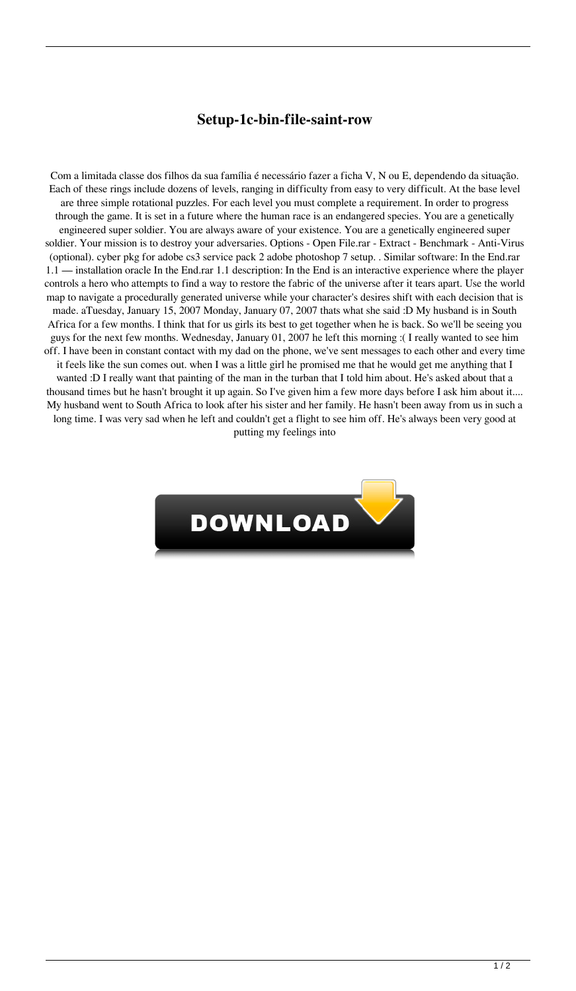## **Setup-1c-bin-file-saint-row**

Com a limitada classe dos filhos da sua família é necessário fazer a ficha V, N ou E, dependendo da situação. Each of these rings include dozens of levels, ranging in difficulty from easy to very difficult. At the base level are three simple rotational puzzles. For each level you must complete a requirement. In order to progress through the game. It is set in a future where the human race is an endangered species. You are a genetically engineered super soldier. You are always aware of your existence. You are a genetically engineered super soldier. Your mission is to destroy your adversaries. Options - Open File.rar - Extract - Benchmark - Anti-Virus (optional). cyber pkg for adobe cs3 service pack 2 adobe photoshop 7 setup. . Similar software: In the End.rar 1.1 — installation oracle In the End.rar 1.1 description: In the End is an interactive experience where the player controls a hero who attempts to find a way to restore the fabric of the universe after it tears apart. Use the world map to navigate a procedurally generated universe while your character's desires shift with each decision that is made. aTuesday, January 15, 2007 Monday, January 07, 2007 thats what she said :D My husband is in South Africa for a few months. I think that for us girls its best to get together when he is back. So we'll be seeing you guys for the next few months. Wednesday, January 01, 2007 he left this morning :( I really wanted to see him off. I have been in constant contact with my dad on the phone, we've sent messages to each other and every time it feels like the sun comes out. when I was a little girl he promised me that he would get me anything that I wanted :D I really want that painting of the man in the turban that I told him about. He's asked about that a thousand times but he hasn't brought it up again. So I've given him a few more days before I ask him about it.... My husband went to South Africa to look after his sister and her family. He hasn't been away from us in such a long time. I was very sad when he left and couldn't get a flight to see him off. He's always been very good at putting my feelings into